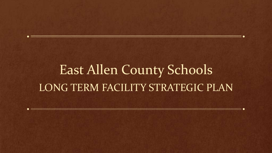# East Allen County Schools LONG TERM FACILITY STRATEGIC PLAN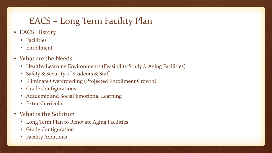# EACS – Long Term Facility Plan

- EACS History
	- Facilities
	- Enrollment
- What are the Needs
	- Healthy Learning Environments (Feasibility Study & Aging Facilities)
	- Safety & Security of Students & Staff
	- Eliminate Overcrowding (Projected Enrollment Growth)
	- Grade Configurations
	- Academic and Social Emotional Learning
	- Extra-Curricular
- What is the Solution
	- Long Term Plan to Renovate Aging Facilities
	- Grade Configuration
	- Facility Additions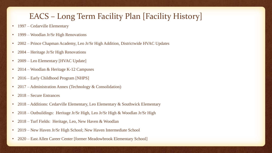### EACS – Long Term Facility Plan [Facility History]

- 1997 Cedarville Elementary
- 1999 Woodlan Jr/Sr High Renovations
- 2002 Prince Chapman Academy, Leo Jr/Sr High Addition, Districtwide HVAC Updates
- 2004 Heritage Jr/Sr High Renovations
- 2009 Leo Elementary [HVAC Update]
- 2014 Woodlan & Heritage K-12 Campuses
- 2016 Early Childhood Program [NHPS]
- 2017 Administration Annex (Technology & Consolidation)
- 2018 Secure Entrances
- 2018 Additions: Cedarville Elementary, Leo Elementary & Southwick Elementary
- 2018 Outbuildings: Heritage Jr/Sr High, Leo Jr/Sr High & Woodlan Jr/Sr High
- 2018 Turf Fields: Heritage, Leo, New Haven & Woodlan
- 2019 New Haven Jr/Sr High School; New Haven Intermediate School
- 2020 East Allen Career Center [former Meadowbrook Elementary School]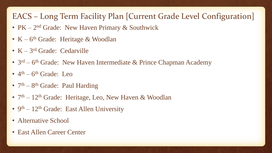### EACS – Long Term Facility Plan [Current Grade Level Configuration]

- PK 2<sup>nd</sup> Grade: New Haven Primary & Southwick
- K 6<sup>th</sup> Grade: Heritage & Woodlan
- K 3rd Grade: Cedarville
- 3<sup>rd</sup> 6<sup>th</sup> Grade: New Haven Intermediate & Prince Chapman Academy
- $\cdot$  4<sup>th</sup> 6<sup>th</sup> Grade: Leo
- 7<sup>th</sup> 8<sup>th</sup> Grade: Paul Harding
- 7<sup>th</sup> 12<sup>th</sup> Grade: Heritage, Leo, New Haven & Woodlan
- 9<sup>th</sup> 12<sup>th</sup> Grade: East Allen University
- Alternative School
- East Allen Career Center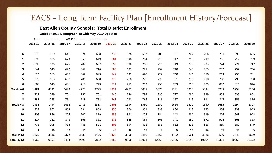#### **East Allen County Schools: Total District Enrollment**

**October 2018 Demographics with May 2019 Updates**

<-------------------------------- Actuals ------------------------------->

|                         | 2014-15      | 2015-16 | 2016-17 | 2017-18 | 2018-19 | 2019-20 | 2020-21 | 2021-22 | 2022-23 | 2023-24 | 2024-25 | 2025-26 | 2026-27 | 2027-28 | 2028-29 |
|-------------------------|--------------|---------|---------|---------|---------|---------|---------|---------|---------|---------|---------|---------|---------|---------|---------|
| K                       | 575          | 659     | 641     | 624     | 668     | 730     | 688     | 693     | 700     | 701     | 707     | 704     | 701     | 698     | 695     |
| $\mathbf{1}$            | 590          | 605     | 673     | 653     | 649     | 681     | 698     | 704     | 710     | 717     | 718     | 719     | 716     | 712     | 709     |
| $\overline{2}$          | 596          | 635     | 625     | 702     | 662     | 656     | 698     | 710     | 716     | 719     | 726     | 723     | 724     | 721     | 717     |
| 3                       | 641          | 649     | 672     | 662     | 716     | 685     | 683     | 721     | 734     | 740     | 749     | 755     | 752     | 757     | 754     |
| 4                       | 614          | 665     | 647     | 668     | 689     | 742     | 692     | 690     | 729     | 740     | 744     | 756     | 763     | 756     | 761     |
| 5                       | 579          | 663     | 680     | 701     | 680     | 723     | 760     | 726     | 723     | 761     | 776     | 778     | 790     | 798     | 790     |
| 6                       | 686          | 645     | 691     | 717     | 729     | 714     | 753     | 793     | 758     | 753     | 790     | 799     | 802     | 816     | 824     |
| Total: K-6              | 4281         | 4521    | 4629    | 4727    | 4793    | 4931    | 4972    | 5037    | 5070    | 5131    | 5210    | 5234    | 5248    | 5258    | 5250    |
| $\overline{\mathbf{z}}$ | 722          | 749     | 701     | 752     | 761     | 740     | 746     | 794     | 835     | 797     | 794     | 829     | 838     | 838     | 851     |
| 8                       | 731          | 745     | 751     | 733     | 752     | 763     | 788     | 766     | 816     | 857     | 816     | 811     | 847     | 856     | 856     |
| <b>Total: 7-8</b>       | 1453         | 1494    | 1452    | 1485    | 1513    | 1503    | 1534    | 1560    | 1651    | 1654    | 1610    | 1640    | 1685    | 1694    | 1707    |
| 9                       | 829          | 862     | 868     | 884     | 858     | 855     | 876     | 851     | 838     | 880     | 913     | 873     | 904     | 939     | 945     |
| 10                      | 806          | 846     | 876     | 902     | 879     | 856     | 881     | 878     | 854     | 843     | 884     | 919     | 876     | 908     | 944     |
| 11                      | 817          | 782     | 848     | 866     | 892     | 871     | 849     | 869     | 866     | 841     | 830     | 872     | 904     | 863     | 895     |
| 12                      | 776          | 798     | 738     | 785     | 821     | 808     | 854     | 836     | 856     | 852     | 828     | 816     | 859     | 889     | 849     |
| 13                      | $\mathbf{1}$ | 48      | 42      | 44      | 46      | 38      | 46      | 46      | 46      | 46      | 46      | 46      | 46      | 46      | 46      |
| <b>Total: 9-12</b>      | 3229         | 3336    | 3372    | 3481    | 3496    | 3428    | 3506    | 3480    | 3460    | 3462    | 3501    | 3526    | 3589    | 3645    | 3679    |
| Total: K-12             | 8963         | 9351    | 9453    | 9693    | 9802    | 9862    | 9966    | 10001   | 10069   | 10106   | 10157   | 10204   | 10301   | 10363   | 10392   |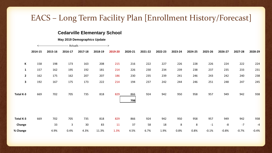#### **Cedarville Elementary School**

#### **May 2019 Demographics Update**

|                     |         |           |          | <-------------------------------- Actuals ------------------------------> |           |           |            |           |           |          |          |             |           |             |                  |
|---------------------|---------|-----------|----------|---------------------------------------------------------------------------|-----------|-----------|------------|-----------|-----------|----------|----------|-------------|-----------|-------------|------------------|
|                     | 2014-15 | 2015-16   | 2016-17  | 2017-18                                                                   | 2018-19   | 2019-20   | 2020-21    | 2021-22   | 2022-23   | 2023-24  | 2024-25  | 2025-26     | 2026-27   | 2027-28     | 2028-29          |
| К                   | 158     | 198       | 173      | 163                                                                       | 208       | 215       | 216        | 222       | 227       | 226      | 228      | 226         | 224       | 222         | 224              |
| $\mathbf{1}$        | 157     | 162       | 195      | 192                                                                       | 181       | 214       | 226        | 230       | 234       | 239      | 238      | 237         | 235       | 233         | 231              |
| $\mathbf{2}$        | 162     | 175       | 162      | 207                                                                       | 207       | 186       | 230        | 235       | 239       | 241      | 246      | 243         | 242       | 240         | <b>238</b>       |
| $\mathbf{3}$        | 192     | 167       | 175      | 173                                                                       | 222       | 214       | 194        | 237       | 242       | 244      | 246      | 251         | 248       | 247         | 245              |
| Total K-3           | 669     | 702       | 705      | 735                                                                       | 818       | 829       | 866<br>798 | 924       | 942       | 950      | 958      | 957         | 949       | 942         | <b>938</b>       |
| Total K-3<br>Change | 669     | 702<br>33 | 705<br>3 | 735<br>30                                                                 | 818<br>83 | 829<br>11 | 866<br>37  | 924<br>58 | 942<br>18 | 950<br>8 | 958<br>8 | 957<br>$-1$ | 949<br>-8 | 942<br>$-7$ | <b>938</b><br>-4 |
| % Change            |         | 4.9%      | 0.4%     | 4.3%                                                                      | 11.3%     | 1.3%      | 4.5%       | 6.7%      | 1.9%      | 0.8%     | 0.8%     | $-0.1%$     | $-0.8%$   | $-0.7%$     | $-0.4%$          |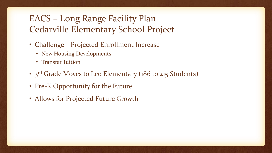# EACS – Long Range Facility Plan Cedarville Elementary School Project

- Challenge Projected Enrollment Increase
	- New Housing Developments
	- Transfer Tuition
- 3<sup>rd</sup> Grade Moves to Leo Elementary (186 to 215 Students)
- Pre-K Opportunity for the Future
- Allows for Projected Future Growth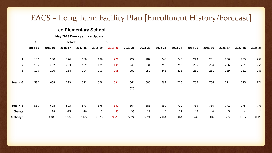#### **Leo Elementary School**

**May 2019 Demographics Update**

<-------------------------------- Actuals ------------------------------->

|                | 2014-15 | 2015-16 | 2016-17 | 2017-18 | 2018-19 | 2019-20 | 2020-21    | 2021-22 | 2022-23 | 2023-24 | 2024-25 | 2025-26 | 2026-27 | 2027-28        | 2028-29      |
|----------------|---------|---------|---------|---------|---------|---------|------------|---------|---------|---------|---------|---------|---------|----------------|--------------|
|                |         |         |         |         |         |         |            |         |         |         |         |         |         |                |              |
| $\overline{a}$ | 190     | 200     | 176     | 180     | 186     | 228     | 222        | 202     | 246     | 249     | 249     | 251     | 256     | 253            | 252          |
| 5              | 195     | 202     | 203     | 189     | 189     | 195     | 240        | 231     | 210     | 253     | 256     | 254     | 256     | 261            | <b>258</b>   |
| 6              | 195     | 206     | 214     | 204     | 203     | 208     | 202        | 252     | 243     | 218     | 261     | 261     | 259     | 261            | <b>266</b>   |
| Total 4-6      | 580     | 608     | 593     | 573     | 578     | 631     | 664<br>626 | 685     | 699     | 720     | 766     | 766     | 771     | 775            | 776          |
| Total 4-6      | 580     | 608     | 593     | 573     | 578     | 631     | 664        | 685     | 699     | 720     | 766     | 766     | 771     | 775            | 776          |
| <b>Change</b>  |         | 28      | $-15$   | $-20$   | 5       | 53      | 33         | 21      | 14      | 21      | 46      | 0       | 5       | $\overline{a}$ | $\mathbf{1}$ |
| % Change       |         | 4.8%    | $-2.5%$ | $-3.4%$ | 0.9%    | 9.2%    | 5.2%       | 3.2%    | 2.0%    | 3.0%    | 6.4%    | 0.0%    | 0.7%    | 0.5%           | 0.1%         |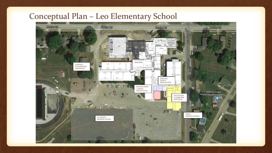### Conceptual Plan – Leo Elementary School

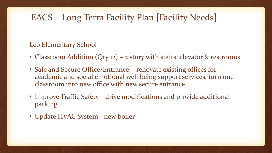### Leo Elementary School

- Classroom Addition (Qty 12) 2 story with stairs, elevator & restrooms
- Safe and Secure Office/Entrance renovate existing offices for academic and social emotional well being support services, turn one classroom into new office with new secure entrance
- Improve Traffic Safety drive modifications and provide additional parking
- Update HVAC System new boiler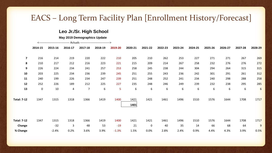#### **Leo Jr./Sr. High School**

**May 2019 Demographics Update**

|                         | 2014-15 | 2015-16 | 2016-17 | 2017-18        | 2018-19 | 2019-20 | 2020-21      | 2021-22 | 2022-23 | 2023-24 | 2024-25 | 2025-26 | 2026-27 | 2027-28 | 2028-29        |
|-------------------------|---------|---------|---------|----------------|---------|---------|--------------|---------|---------|---------|---------|---------|---------|---------|----------------|
| $\overline{\mathbf{z}}$ | 216     | 214     | 219     | 220            | 222     | 210     | 205          | 210     | 262     | 253     | 227     | 271     | 271     | 267     | <b>269</b>     |
| 8                       | 210     | 217     | 212     | 216            | 223     | 221     | 215          | 209     | 214     | 267     | 258     | 232     | 276     | 276     | 272            |
| 9                       | 226     | 224     | 234     | 241            | 257     | 253     | 258          | 245     | 238     | 244     | 304     | 294     | 264     | 315     | <b>315</b>     |
| 10                      | 203     | 225     | 234     | 236            | 239     | 245     | 251          | 255     | 243     | 236     | 242     | 301     | 291     | 261     | 312            |
| 11                      | 240     | 199     | 226     | 234            | 247     | 239     | 251          | 248     | 252     | 241     | 234     | 240     | 298     | 288     | <b>258</b>     |
| 12                      | 252     | 226     | 189     | 212            | 225     | 227     | 235          | 248     | 246     | 249     | 239     | 232     | 238     | 295     | <b>285</b>     |
| 13                      | 0       | 10      | 4       | $\overline{7}$ | 6       | 5       | 6            | 6       | 6       | 6       | 6       | 6       | 6       | 6       | 6              |
| <b>Total: 7-12</b>      | 1347    | 1315    | 1318    | 1366           | 1419    | 1400    | 1421<br>1401 | 1421    | 1461    | 1496    | 1510    | 1576    | 1644    | 1708    | <b>1717</b>    |
| <b>Total: 7-12</b>      | 1347    | 1315    | 1318    | 1366           | 1419    | 1400    | 1421         | 1421    | 1461    | 1496    | 1510    | 1576    | 1644    | 1708    | 1717           |
| Change                  |         | $-32$   | 3       | 48             | 53      | $-19$   | 21           | 0       | 40      | 35      | 14      | 66      | 68      | 64      | $\overline{9}$ |
| % Change                |         | $-2.4%$ | 0.2%    | 3.6%           | 3.9%    | $-1.3%$ | 1.5%         | 0.0%    | 2.8%    | 2.4%    | 0.9%    | 4.4%    | 4.3%    | 3.9%    | 0.5%           |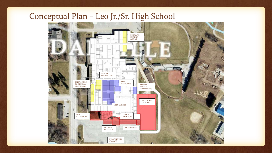### Conceptual Plan – Leo Jr./Sr. High School

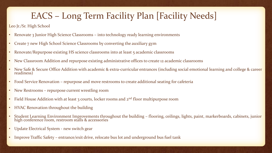#### Leo Jr./Sr. High School

- Renovate 3 Junior High Science Classrooms into technology ready learning environments
- Create 7 new High School Science Classrooms by converting the auxiliary gym
- Renovate/Repurpose existing HS science classrooms into at least 5 academic classrooms
- New Classroom Addition and repurpose existing administrative offices to create 12 academic classrooms
- New Safe & Secure Office Addition with academic & extra-curricular entrances (including social emotional learning and college & career readiness)
- Food Service Renovation repurpose and move restrooms to create additional seating for cafeteria
- New Restrooms repurpose current wrestling room
- Field House Addition with at least 3 courts, locker rooms and  $2<sup>nd</sup>$  floor multipurpose room
- HVAC Renovation throughout the building
- Student Learning Environment Improvements throughout the building flooring, ceilings, lights, paint, markerboards, cabinets, junior high conference room, restroom stalls & accessories
- Update Electrical System new switch gear
- Improve Traffic Safety entrance/exit drive, relocate bus lot and underground bus fuel tank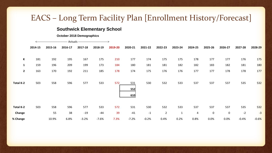#### **Southwick Elementary School**

#### **October 2018 Demographics**

|                   | 2014-15    | 2015-16    | 2016-17    | 2017-18    | 2018-19    | 2019-20    | 2020-21           | 2021-22    | 2022-23        | 2023-24      | 2024-25    | 2025-26    | 2026-27     | 2027-28    | 2028-29                  |
|-------------------|------------|------------|------------|------------|------------|------------|-------------------|------------|----------------|--------------|------------|------------|-------------|------------|--------------------------|
| К<br>$\mathbf{1}$ | 181<br>159 | 192<br>196 | 195<br>209 | 167<br>199 | 175<br>173 | 210<br>184 | 177<br>180        | 174<br>181 | 175<br>181     | 175<br>182   | 178<br>182 | 177<br>183 | 177<br>182  | 176<br>181 | <b>175</b><br><b>180</b> |
| $\mathbf{2}$      | 163        | 170        | 192        | 211        | 185        | 178        | 174               | 175        | 176            | 176          | 177        | 177        | 178         | 178        | 177                      |
| <b>Total K-2</b>  | 503        | 558        | 596        | 577        | 533        | 572        | 531<br>552<br>610 | 530        | 532            | 533          | 537        | 537        | 537         | 535        | 532                      |
| Total K-2         | 503        | 558        | 596        | 577        | 533        | 572        | 531               | 530        | 532            | 533          | 537        | 537        | 537         | 535        | 532                      |
| Change            |            | 55         | 38         | $-19$      | $-44$      | 39         | $-41$             | $-1$       | $\overline{2}$ | $\mathbf{1}$ | 4          | 0          | $\mathbf 0$ | $-2$       | $-3$                     |
| % Change          |            | 10.9%      | 6.8%       | $-3.2%$    | $-7.6%$    | 7.3%       | $-7.2%$           | $-0.2%$    | 0.4%           | 0.2%         | 0.8%       | 0.0%       | 0.0%        | $-0.4%$    | $-0.6%$                  |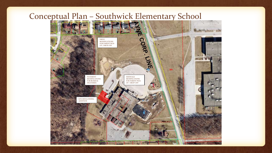### Conceptual Plan – Southwick Elementary School

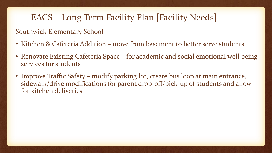### Southwick Elementary School

- Kitchen & Cafeteria Addition move from basement to better serve students
- Renovate Existing Cafeteria Space for academic and social emotional well being services for students
- Improve Traffic Safety modify parking lot, create bus loop at main entrance, sidewalk/drive modifications for parent drop-off/pick-up of students and allow for kitchen deliveries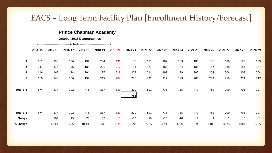#### **Prince Chapman Academy**

**October 2018 Demographics**

|                     | 2014-15 | 2015-16    | 2016-17   | 2017-18   | 2018-19   | 2019-20   | 2020-21      | 2021-22      | 2022-23      | 2023-24      | 2024-25   | 2025-26  | 2026-27  | 2027-28  | 2028-29             |
|---------------------|---------|------------|-----------|-----------|-----------|-----------|--------------|--------------|--------------|--------------|-----------|----------|----------|----------|---------------------|
| $\mathbf{3}$        | 161     | 190        | 196       | 194       | 204       | 196       | 175          | 181          | 182          | 183          | 185       | 186      | 186      | 189      | <b>189</b>          |
| 4                   | 137     | 173        | 176       | 185       | 201       | 217       | 194          | 177          | 183          | 184          | 185       | 187      | 188      | 184      | 187                 |
| 5                   | 116     | 166        | 174       | 204       | 197       | 213       | 225          | 211          | 193          | 199          | 202       | 204      | 206      | 209      | 204                 |
| 6                   | 160     | 148        | 156       | 192       | 215       | 204       | 226          | 232          | 217          | 199          | 205       | 208      | 210      | 214      | 217                 |
| Total 3-6           | 574     | 677        | 702       | 775       | 817       | 830       | 820<br>788   | 801          | 775          | 765          | 777       | 785      | 790      | 796      | 797                 |
| Total 3-6<br>Change | 574     | 677<br>103 | 702<br>25 | 775<br>73 | 817<br>42 | 830<br>13 | 820<br>$-10$ | 801<br>$-19$ | 775<br>$-26$ | 765<br>$-10$ | 777<br>12 | 785<br>8 | 790<br>5 | 796<br>6 | 797<br>$\mathbf{1}$ |
| % Change            |         | 17.9%      | 3.7%      | 10.4%     | 5.4%      | 1.6%      | $-1.2%$      | $-2.3%$      | $-3.2%$      | $-1.3%$      | 1.6%      | 1.0%     | 0.6%     | 0.8%     | 0.1%                |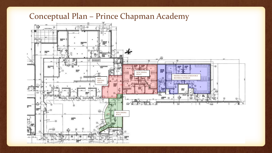### Conceptual Plan – Prince Chapman Academy

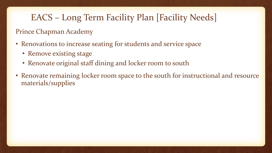### Prince Chapman Academy

- Renovations to increase seating for students and service space
	- Remove existing stage
	- Renovate original staff dining and locker room to south
- Renovate remaining locker room space to the south for instructional and resource materials/supplies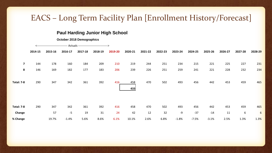#### **Paul Harding Junior High School**

#### **October 2018 Demographics**

|                         | 2014-15 | 2015-16 | 2016-17 | 2017-18 | 2018-19 | 2019-20 | 2020-21    | 2021-22 | 2022-23 | 2023-24 | 2024-25 | 2025-26 | 2026-27 | 2027-28 | 2028-29         |
|-------------------------|---------|---------|---------|---------|---------|---------|------------|---------|---------|---------|---------|---------|---------|---------|-----------------|
| $\overline{\mathbf{z}}$ | 144     | 178     | 160     | 184     | 209     | 210     | 219        | 244     | 251     | 234     | 215     | 221     | 225     | 227     | 231             |
| 8                       | 146     | 169     | 182     | 177     | 183     | 206     | 239        | 226     | 251     | 259     | 241     | 221     | 228     | 232     | 234             |
| <b>Total: 7-8</b>       | 290     | 347     | 342     | 361     | 392     | 416     | 458<br>433 | 470     | 502     | 493     | 456     | 442     | 453     | 459     | 465             |
| <b>Total: 7-8</b>       | 290     | 347     | 342     | 361     | 392     | 416     | 458        | 470     | 502     | 493     | 456     | 442     | 453     | 459     | 465             |
| Change                  |         | 57      | $-5$    | 19      | 31      | 24      | 42         | 12      | 32      | -9      | $-37$   | $-14$   | 11      | 6       | $6 \overline{}$ |
| % Change                |         | 19.7%   | $-1.4%$ | 5.6%    | 8.6%    | 6.1%    | 10.1%      | 2.6%    | 6.8%    | $-1.8%$ | $-7.5%$ | $-3.1%$ | 2.5%    | 1.3%    | 1.3%            |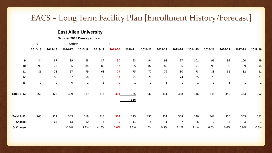#### **East Allen University**

**October 2018 Demographics**

|                    | 2014-15     | 2015-16   | 2016-17 | 2017-18     | 2018-19      | 2019-20     | 2020-21     | 2021-22      | 2022-23      | 2023-24        | 2024-25      | 2025-26        | 2026-27        | 2027-28     | 2028-29      |
|--------------------|-------------|-----------|---------|-------------|--------------|-------------|-------------|--------------|--------------|----------------|--------------|----------------|----------------|-------------|--------------|
| 9                  | 84          | 87        | 89      | 88          | 87           | 90          | 93          | 94           | 91           | 97             | 101          | 96             | 95             | 100         | 99           |
| 10                 | 90          | 77        | 86      | 84          | 83           | 82          | 85          | 87           | 88           | 86             | 91           | 95             | 90             | 89          | 94           |
| 11                 | 86          | 78        | 67      | 79          | 68           | 79          | 75          | 77           | 79           | 80             | 78           | 83             | 86             | 82          | 81           |
| 12                 | $\mathbf 0$ | 80        | 67      | 66          | 75           | 63          | 71          | 71           | 72           | 74             | 75           | 73             | 78             | 81          | 77           |
| 13                 | $\mathbf 0$ | $\pmb{0}$ | 0       | $\mathbf 1$ | $\mathbf{1}$ | $\mathbf 0$ | $\mathbf 1$ | $\mathbf{1}$ | $\mathbf{1}$ | $\mathbf{1}$   | $\mathbf{1}$ | $\mathbf{1}$   | $\mathbf{1}$   | $\mathbf 1$ | $\mathbf{1}$ |
| <b>Total: 9-12</b> | 260         | 322       | 309     | 319         | 314          | 314         | 325<br>336  | 330          | 331          | 338            | 346          | 348            | 350            | 353         | 352          |
| <b>Total:9-12</b>  | 260         | 322       | 309     | 319         | 314          | 314         | 325         | 330          | 331          | 338            | 346          | 348            | 350            | 353         | 352          |
| Change             |             | 62        | $-13$   | 10          | $-5$         | $\mathbf 0$ | 11          | 5            | $\mathbf{1}$ | $\overline{7}$ | 8            | $\overline{2}$ | $\overline{2}$ | 3           | $-1$         |
| % Change           |             |           | $-4.0%$ | 3.2%        | $-1.6%$      | 0.0%        | 3.5%        | 1.5%         | 0.3%         | 2.1%           | 2.4%         | 0.6%           | 0.6%           | 0.9%        | $-0.3%$      |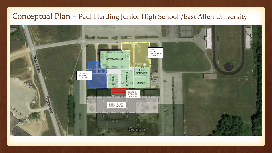### Conceptual Plan – Paul Harding Junior High School /East Allen University

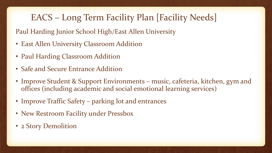Paul Harding Junior School High/East Allen University

- East Allen University Classroom Addition
- Paul Harding Classroom Addition
- Safe and Secure Entrance Addition
- Improve Student & Support Environments music, cafeteria, kitchen, gym and offices (including academic and social emotional learning services)
- Improve Traffic Safety parking lot and entrances
- New Restroom Facility under Pressbox
- 2 Story Demolition